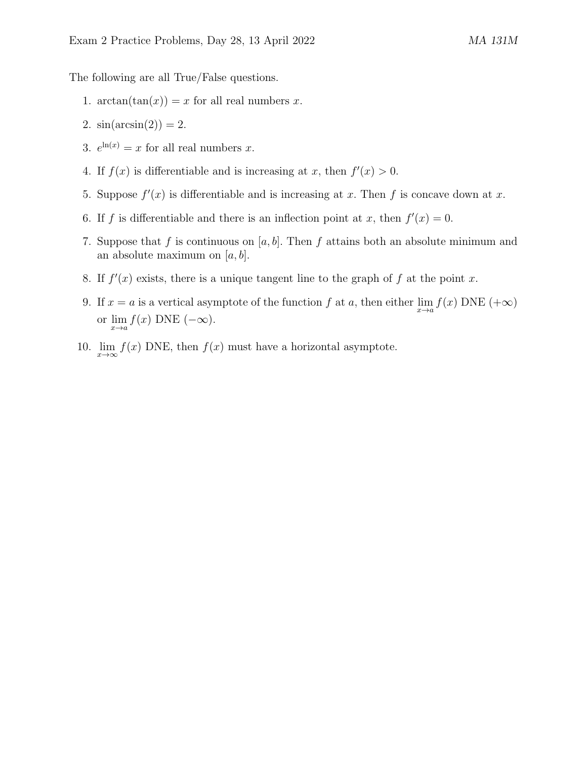The following are all True/False questions.

- 1.  $\arctan(\tan(x)) = x$  for all real numbers x.
- 2.  $sin(arcsin(2)) = 2$ .
- 3.  $e^{\ln(x)} = x$  for all real numbers x.
- 4. If  $f(x)$  is differentiable and is increasing at x, then  $f'(x) > 0$ .
- 5. Suppose  $f'(x)$  is differentiable and is increasing at x. Then f is concave down at x.
- 6. If f is differentiable and there is an inflection point at x, then  $f'(x) = 0$ .
- 7. Suppose that f is continuous on [a, b]. Then f attains both an absolute minimum and an absolute maximum on  $[a, b]$ .
- 8. If  $f'(x)$  exists, there is a unique tangent line to the graph of f at the point x.
- 9. If  $x = a$  is a vertical asymptote of the function  $f$  at  $a$ , then either  $\lim_{x \to a} f(x)$  DNE  $(+\infty)$ or  $\lim_{x\to a} f(x)$  DNE  $(-\infty)$ .
- 10.  $\lim_{x\to\infty} f(x)$  DNE, then  $f(x)$  must have a horizontal asymptote.